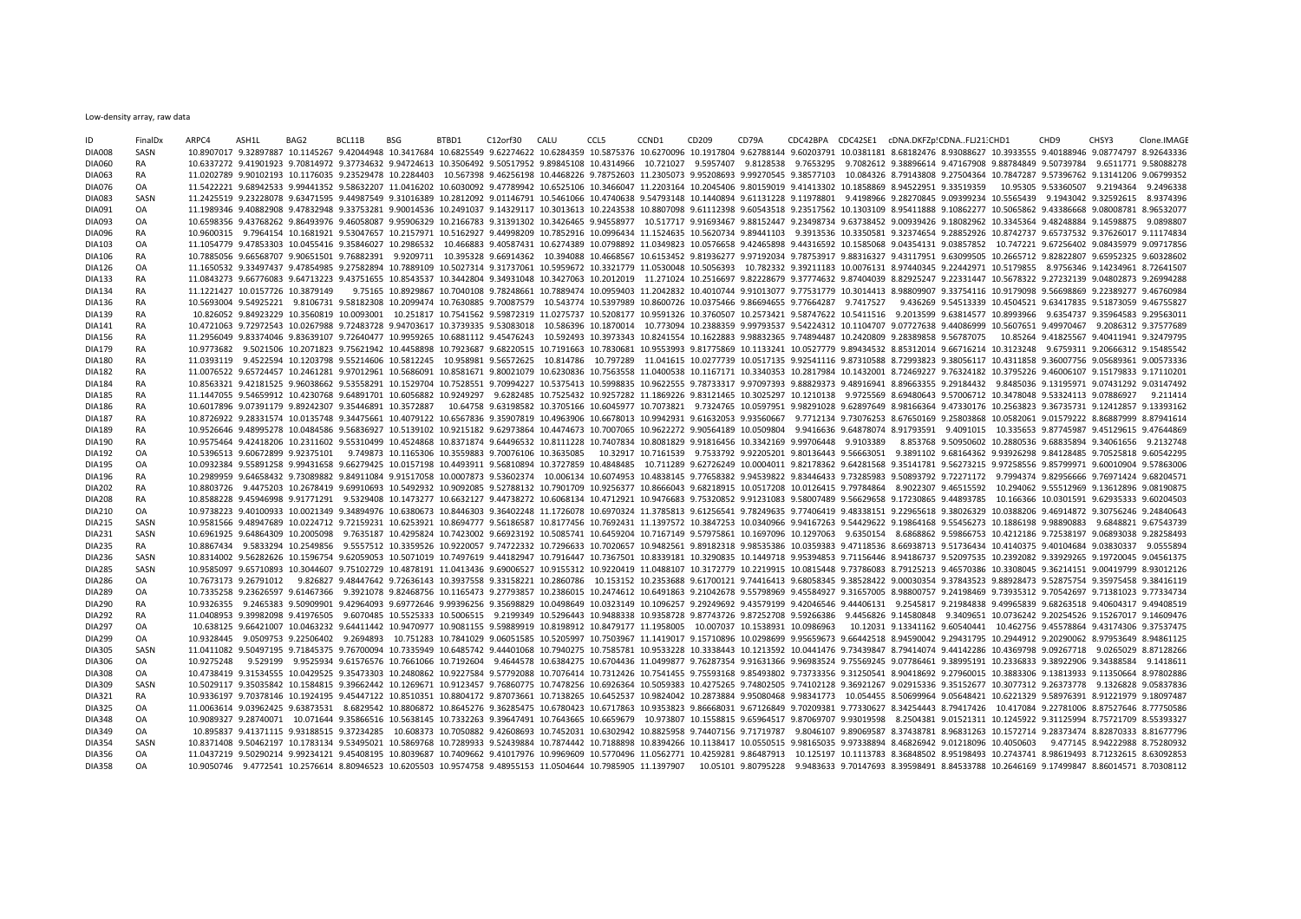Low-density array, raw data

| ID            | FinalDx   | ARPC4      | ASH1L | BAG2                             | BCL11B                                                                                                                                                                                                                          | BSG | BTBD1 | C12orf30 | CALU | CCL5 | CCND1 | CD209 | CD79A | CDC42BPA CDC42SE1 cDNA.DKFZp!CDNAFLJ21:CHD1 |  |                                                                                                                                                                                         | CHD <sub>9</sub> | CHSY3                                   | Clone.IMAGE |
|---------------|-----------|------------|-------|----------------------------------|---------------------------------------------------------------------------------------------------------------------------------------------------------------------------------------------------------------------------------|-----|-------|----------|------|------|-------|-------|-------|---------------------------------------------|--|-----------------------------------------------------------------------------------------------------------------------------------------------------------------------------------------|------------------|-----------------------------------------|-------------|
| <b>DIA008</b> | SASN      |            |       |                                  | 10.8907017 9.32897887 10.1145267 9.42044948 10.3417684 10.6825549 9.62274622 10.6284359 10.5875376 10.6270096 10.1917804 9.62788144 9.60203791 10.0381181 8.68182476 8.93088627 10.3933555 9.40188946 9.08774797 8.92643336     |     |       |          |      |      |       |       |       |                                             |  |                                                                                                                                                                                         |                  |                                         |             |
| <b>DIA060</b> | <b>RA</b> |            |       |                                  | 10.6337272 9.41901923 9.70814972 9.37734632 9.94724613 10.3506492 9.50517952 9.89845108 10.4314966 10.721027 9.5957407 9.8128538 9.7653295 9.7082612 9.38896614 9.47167908 9.88784849 9.50739784 9.6511771 9.58088278           |     |       |          |      |      |       |       |       |                                             |  |                                                                                                                                                                                         |                  |                                         |             |
| <b>DIA063</b> | RA        |            |       |                                  | 11.0202789 9.90102193 10.1176035 9.23529478 10.2284403 10.567398 9.46256198 10.4468226 9.78752603 11.2305073 9.95208693 9.99270545 9.38577103 10.084326 8.79143808 9.27504364 10.7847287 9.57396762 9.13141206 9.06799352       |     |       |          |      |      |       |       |       |                                             |  |                                                                                                                                                                                         |                  |                                         |             |
| <b>DIA076</b> | OA        |            |       |                                  | 11.5422221 9.68942533 9.99441352 9.58632207 11.0416202 10.6030092 9.47789942 10.6525106 10.3466047 11.2203164 10.2045406 9.80159019 9.41413302 10.1858869 8.94522951 9.33519359                                                 |     |       |          |      |      |       |       |       |                                             |  |                                                                                                                                                                                         |                  | 10.95305 9.53360507 9.2194364 9.2496338 |             |
| <b>DIA083</b> | SASN      |            |       |                                  | 11.2425519 9.23228078 9.63471595 9.44987549 9.31016389 10.2812092 9.01146791 10.5461066 10.4740638 9.54793148 10.1440894 9.61131228 9.11978801 9.4198966 9.28270845 9.09399234 10.5565439 9.1943042 9.32592615 8.9374396        |     |       |          |      |      |       |       |       |                                             |  |                                                                                                                                                                                         |                  |                                         |             |
| DIA091        | OA        |            |       |                                  | 11.1989346 9.40882908 9.47832948 9.33753281 9.90014536 10.2491037 9.14329117 10.3013613 10.2243538 10.8807098 9.61112398 9.60543518 9.23517562 10.1303109 8.95411888 9.10862277 10.5065862 9.43386668 9.08008781 8.96532077     |     |       |          |      |      |       |       |       |                                             |  |                                                                                                                                                                                         |                  |                                         |             |
| <b>DIA093</b> | OA        |            |       |                                  | 10.6598356 9.43768262 9.86493976 9.46058087 9.95906329 10.2166783 9.31391302 10.3426465 9.94558977 10.517717 9.91693467 9.88152447 9.23498734 9.63738452 9.00939426 9.18082962 10.3345364 9.48248884 9.14598875 9.0898807       |     |       |          |      |      |       |       |       |                                             |  |                                                                                                                                                                                         |                  |                                         |             |
| <b>DIA096</b> | <b>RA</b> |            |       |                                  | 10.9600315 9.7964154 10.1681921 9.53047657 10.2157971 10.5162927 9.44998209 10.7852916 10.0996434 11.1524635 10.5620734 9.89441103 9.3913536 10.3350581 9.32374654 9.28852926 10.8742737 9.65737532 9.37626017 9.11174834       |     |       |          |      |      |       |       |       |                                             |  |                                                                                                                                                                                         |                  |                                         |             |
| <b>DIA103</b> | OA        |            |       |                                  | 11.1054779 9.47853303 10.0455416 9.35846027 10.2986532 10.466883 9.40587431 10.6274389 10.0798892 11.0349823 10.0576658 9.42465898 9.44316592 10.1585068 9.04354131 9.03857852 10.747221 9.67256402 9.08435979 9.09717856       |     |       |          |      |      |       |       |       |                                             |  |                                                                                                                                                                                         |                  |                                         |             |
| DIA106        | RA        |            |       |                                  | 10.7885056 9.66568707 9.90651501 9.76882391 9.9209711 10.395328 9.66914362 10.394088 10.4668567 10.6153452 9.81936277 9.97192034 9.78753917 9.88316327 9.43117951 9.63099505 10.2665712 9.82822807 9.65952325 9.60328602        |     |       |          |      |      |       |       |       |                                             |  |                                                                                                                                                                                         |                  |                                         |             |
| <b>DIA126</b> | OA        |            |       |                                  | 11.1650532 9.33497437 9.47854985 9.27582894 10.7889109 10.5027314 9.31737061 10.5959672 10.3321779 11.0530048 10.5056393 10.782332 9.39211183 10.0076131 8.97440345 9.22442971 10.5179855 8.9756346 9.14234961 8.72641507       |     |       |          |      |      |       |       |       |                                             |  |                                                                                                                                                                                         |                  |                                         |             |
| <b>DIA133</b> | <b>RA</b> |            |       |                                  | 11.0843273 9.66776083 9.64713223 9.43751655 10.8543537 10.3442804 9.34931048 10.3427063 10.2012019 11.271024 10.2516697 9.82228679 9.37774632 9.87404039 8.82925247 9.22331447 10.5678322 9.27232139 9.04802873 9.26994288      |     |       |          |      |      |       |       |       |                                             |  |                                                                                                                                                                                         |                  |                                         |             |
| <b>DIA134</b> | RA        |            |       | 11.1221427 10.0157726 10.3879149 |                                                                                                                                                                                                                                 |     |       |          |      |      |       |       |       |                                             |  | 9.75165 10.8929867 10.7040108 9.78248661 10.7889474 10.0959403 11.2042832 10.4010744 9.91013077 9.77531779 10.3014413 8.98809907 9.33754116 10.9179098 9.56698869 9.22389277 9.46760984 |                  |                                         |             |
| <b>DIA136</b> | <b>RA</b> |            |       |                                  | 10.5693004 9.54925221 9.8106731 9.58182308 10.2099474 10.7630885 9.70087579 10.543774 10.5397989 10.8600726 10.0375466 9.86694655 9.77664287 9.7417527 9.436269 9.54813339 10.4504521 9.63417835 9.51873059 9.46755827          |     |       |          |      |      |       |       |       |                                             |  |                                                                                                                                                                                         |                  |                                         |             |
| <b>DIA139</b> | <b>RA</b> |            |       |                                  | 10.826052 9.84923229 10.3560819 10.0093001 10.251817 10.7541562 9.59872319 11.0275737 10.5208177 10.9591326 10.3760507 10.2573421 9.58747622 10.5411516 9.2013599 9.63814577 10.8993966 9.6354737 9.35964583 9.29563011         |     |       |          |      |      |       |       |       |                                             |  |                                                                                                                                                                                         |                  |                                         |             |
| <b>DIA141</b> | <b>RA</b> |            |       |                                  | 10.4721063 9.72972543 10.0267988 9.72483728 9.94703617 10.3739335 9.53083018 10.586396 10.1870014 10.773094 10.2388359 9.99793537 9.54224312 10.1104707 9.07727638 9.44086999 10.5607651 9.49970467 9.2086312 9.37577689        |     |       |          |      |      |       |       |       |                                             |  |                                                                                                                                                                                         |                  |                                         |             |
| <b>DIA156</b> | RA        |            |       |                                  | 11.2956049 9.83374046 9.83639107 9.72640477 10.9959265 10.6881112 9.45476243 10.592493 10.3973343 10.8241554 10.1622883 9.98832365 9.74894487 10.2420809 9.28389858 9.56787075 10.85264 9.41825567 9.40411941 9.32479795        |     |       |          |      |      |       |       |       |                                             |  |                                                                                                                                                                                         |                  |                                         |             |
| DIA179        | RA        |            |       |                                  | 10.9773682 9.5021506 10.2071823 9.75621942 10.4458898 10.7923687 9.68220515 10.7191663 10.7830681 10.9553993 9.81775869 10.1133241 10.0527779 9.89434532 8.85312014 9.66716214 10.3123248 9.6759311 9.20666312 9.15485542       |     |       |          |      |      |       |       |       |                                             |  |                                                                                                                                                                                         |                  |                                         |             |
| <b>DIA180</b> | RA        |            |       |                                  | 11.0393119 9.4522594 10.1203798 9.55214606 10.5812245 10.958981 9.56572625 10.814786 10.797289 11.041615 10.0277739 10.0517135 9.92541116 9.87310588 8.72993823 9.38056117 10.4311858 9.36007756 9.05689361 9.00573336          |     |       |          |      |      |       |       |       |                                             |  |                                                                                                                                                                                         |                  |                                         |             |
| <b>DIA182</b> | <b>RA</b> |            |       |                                  | 11.0076522 9.65724457 10.2461281 9.97012961 10.5686091 10.8581671 9.80021079 10.6230836 10.7563558 11.0400538 10.1167171 10.3340353 10.2817984 10.1432001 8.72469227 9.76324182 10.3795226 9.46006107 9.15179833 9.17110201     |     |       |          |      |      |       |       |       |                                             |  |                                                                                                                                                                                         |                  |                                         |             |
| <b>DIA184</b> | <b>RA</b> |            |       |                                  | 10.8563321 9.42181525 9.96038662 9.53558291 10.1529704 10.7528551 9.70994227 10.5375413 10.5998835 10.9622555 9.78733317 9.97097393 9.88829373 9.48916941 8.89663355 9.29184432 9.8485036 9.13195971 9.07431292 9.03147492      |     |       |          |      |      |       |       |       |                                             |  |                                                                                                                                                                                         |                  |                                         |             |
| <b>DIA185</b> | RA        |            |       |                                  | 11.1447055 9.54659912 10.4230768 9.64891701 10.6056882 10.9249297 9.6282485 10.7525432 10.9257282 11.1869226 9.83121465 10.3025297 10.1210138 9.9725569 8.69480643 9.57006712 10.3478048 9.53324113 9.07886927 9.211414         |     |       |          |      |      |       |       |       |                                             |  |                                                                                                                                                                                         |                  |                                         |             |
| <b>DIA186</b> | <b>RA</b> |            |       |                                  | 10.6017896 9.07391179 9.89242307 9.35446891 10.3572887                                                                                                                                                                          |     |       |          |      |      |       |       |       |                                             |  | 10.64758 9.63198582 10.3705166 10.6045977 10.7073821 9.7324765 10.0597951 9.98291028 9.62897649 8.98166364 9.47330176 10.2563823 9.36735731 9.12412857 9.13393162                       |                  |                                         |             |
| <b>DIA187</b> | <b>RA</b> |            |       |                                  | 10.8726922 9.28331574 10.0135748 9.34475661 10.4079122 10.6567836 9.35907819 10.4963906 10.6678013 10.9942931 9.61632053 9.93560667 9.7712134 9.73076253 8.67650169 9.25803868 10.0582061 9.01579222 8.86887999 8.87941614      |     |       |          |      |      |       |       |       |                                             |  |                                                                                                                                                                                         |                  |                                         |             |
| <b>DIA189</b> | <b>RA</b> |            |       |                                  | 10.9526646 9.48995278 10.0484586 9.56836927 10.5139102 10.9215182 9.62973864 10.4474673 10.7007065 10.9622272 9.90564189 10.0509804 9.9416636 9.64878074 8.91793591 9.4091015 10.335653 9.87745987 9.45129615 9.47644869        |     |       |          |      |      |       |       |       |                                             |  |                                                                                                                                                                                         |                  |                                         |             |
| <b>DIA190</b> | <b>RA</b> |            |       |                                  | 10.9575464 9.42418206 10.2311602 9.55310499 10.4524868 10.8371874 9.64496532 10.8111228 10.7407834 10.8081829 9.91816456 10.3342169 9.99706448 9.9103389                                                                        |     |       |          |      |      |       |       |       |                                             |  | 8.853768  9.50950602  10.2880536  9.68835894  9.34061656  9.2132748                                                                                                                     |                  |                                         |             |
| <b>DIA192</b> | OA        |            |       |                                  | 10.5396513 9.60672899 9.92375101 9.749873 10.1165306 10.3559883 9.70076106 10.3635085 10.32917 10.7161539 9.7533792 9.92205201 9.80136443 9.56663051 9.3891102 9.68164362 9.93926298 9.84128485 9.70525818 9.60542295           |     |       |          |      |      |       |       |       |                                             |  |                                                                                                                                                                                         |                  |                                         |             |
| <b>DIA195</b> | OA        |            |       |                                  | 10.0932384 9.55891258 9.99431658 9.66279425 10.0157198 10.4493911 9.56810894 10.3727859 10.4848485 10.711289 9.62726249 10.0004011 9.82178362 9.64281568 9.35141781 9.56273215 9.97258556 9.85799971 9.60010904 9.57863006      |     |       |          |      |      |       |       |       |                                             |  |                                                                                                                                                                                         |                  |                                         |             |
| <b>DIA196</b> | <b>RA</b> |            |       |                                  | 10.2989959 9.64658432 9.73089882 9.84911084 9.91517058 10.0007873 9.53602374 10.006134 10.6074953 10.4838145 9.77658382 9.94539822 9.83446433 9.73285983 9.50893792 9.72271172 9.7994374 9.82956666 9.76971424 9.68204571       |     |       |          |      |      |       |       |       |                                             |  |                                                                                                                                                                                         |                  |                                         |             |
| <b>DIA202</b> | RA        |            |       |                                  | 10.8803726 9.4475203 10.2678419 9.69910693 10.5492932 10.9092085 9.52788132 10.7901709 10.9256377 10.8666043 9.68218915 10.0517208 10.0126415 9.79784864 8.9022307 9.46515592 10.294062 9.55512969 9.13612896 9.08190875        |     |       |          |      |      |       |       |       |                                             |  |                                                                                                                                                                                         |                  |                                         |             |
| <b>DIA208</b> | <b>RA</b> |            |       |                                  | 10.8588228 9.45946998 9.91771291 9.5329408 10.1473277 10.6632127 9.44738272 10.6068134 10.4712921 10.9476683 9.75320852 9.91231083 9.58007489 9.56629658 9.17230865 9.44893785 10.166366 10.0301591 9.62935333 9.60204503       |     |       |          |      |      |       |       |       |                                             |  |                                                                                                                                                                                         |                  |                                         |             |
| <b>DIA210</b> | OA        |            |       |                                  | 10.9738223 9.40100933 10.0021349 9.34894976 10.6380673 10.8446303 9.36402248 11.1726078 10.6970324 11.3785813 9.61256541 9.78249635 9.77406419 9.48338151 9.22965618 9.38026329 10.0388206 9.46914872 9.30756246 9.24840643     |     |       |          |      |      |       |       |       |                                             |  |                                                                                                                                                                                         |                  |                                         |             |
| <b>DIA215</b> | SASN      |            |       |                                  | 10.9581566 9.48947689 10.0224712 9.72159231 10.6253921 10.8694777 9.56186587 10.8177456 10.7692431 11.1397572 10.3847253 10.0340966 9.94167263 9.54429622 9.19864168 9.55456273 10.1886198 9.98890883 9.6848821 9.67543739      |     |       |          |      |      |       |       |       |                                             |  |                                                                                                                                                                                         |                  |                                         |             |
| <b>DIA231</b> | SASN      |            |       |                                  | 10.6961925 9.64864309 10.2005098 9.7635187 10.4295824 10.7423002 9.66923192 10.5085741 10.6459204 10.7167149 9.57975861 10.1697096 10.1297063 9.6350154 8.6868862 9.59866753 10.4212186 9.72538197 9.06893038 9.28258493        |     |       |          |      |      |       |       |       |                                             |  |                                                                                                                                                                                         |                  |                                         |             |
|               | <b>RA</b> |            |       |                                  | 10.8867434 9.5833294 10.2549856 9.5557512 10.3359526 10.9220057 9.74722332 10.7296633 10.7020657 10.9482561 9.89182318 9.98535386 10.0359383 9.47118536 8.66938713 9.51736434 10.4140375 9.40104684 9.03830337 9.0555894        |     |       |          |      |      |       |       |       |                                             |  |                                                                                                                                                                                         |                  |                                         |             |
| <b>DIA235</b> |           |            |       |                                  |                                                                                                                                                                                                                                 |     |       |          |      |      |       |       |       |                                             |  |                                                                                                                                                                                         |                  |                                         |             |
| <b>DIA236</b> | SASN      |            |       |                                  | 10.8314002 9.56282626 10.1596754 9.62059053 10.5071019 10.7497619 9.44182947 10.7916447 10.7367501 10.8339181 10.3290835 10.1449718 9.95394853 9.71156446 8.94186737 9.52097535 10.2392082 9.33929265 9.19720045 9.04561375     |     |       |          |      |      |       |       |       |                                             |  |                                                                                                                                                                                         |                  |                                         |             |
| <b>DIA285</b> | SASN      |            |       |                                  | 10.9585097 9.65710893 10.3044607 9.75102729 10.4878191 11.0413436 9.69006527 10.9155312 10.9220419 11.0488107 10.3172779 10.2219915 10.0815448 9.73786083 8.79125213 9.46570386 10.3308045 9.36214151 9.00419799 8.93012126     |     |       |          |      |      |       |       |       |                                             |  |                                                                                                                                                                                         |                  |                                         |             |
| <b>DIA286</b> | OA        |            |       |                                  | 10.7673173 9.26791012 9.826827 9.48447642 9.72636143 10.3937558 9.33158221 10.2860786 10.153152 10.2353688 9.61700121 9.74416413 9.68058345 9.3852842 9.00030354 9.37843523 9.88928473 9.52875754 9.35975458 9.38416119         |     |       |          |      |      |       |       |       |                                             |  |                                                                                                                                                                                         |                  |                                         |             |
| <b>DIA289</b> | OA        |            |       |                                  | 10.7335258 9.23626597 9.61467366 9.3921078 9.82468756 10.1165473 9.27793857 10.2386015 10.2474612 10.6491863 9.21042678 9.55798969 9.45584927 9.31657005 8.98800757 9.24198469 9.73935312 9.70542697 9.71381023 9.77334734      |     |       |          |      |      |       |       |       |                                             |  |                                                                                                                                                                                         |                  |                                         |             |
| <b>DIA290</b> | <b>RA</b> |            |       |                                  | 10.9326355 9.2465383 9.50909901 9.42964093 9.69772646 9.99396256 9.35698829 10.0498649 10.0323149 10.1096257 9.29249692 9.43579199 9.42046546 9.44406131 9.2545817 9.21984838 9.49965839 9.68263518 9.40604317 9.49408519       |     |       |          |      |      |       |       |       |                                             |  |                                                                                                                                                                                         |                  |                                         |             |
| <b>DIA292</b> | <b>RA</b> |            |       |                                  | 11.0408953 9.39982098 9.41976505 9.6070485 10.5525333 10.5006515 9.2199349 10.5296443 10.9488338 10.9488338 10.9388728 9.87743726 9.87252708 9.59266386 9.4456826 9.14580848 9.3409651 10.0736242 9.20254526 9.15267017 9.14609 |     |       |          |      |      |       |       |       |                                             |  |                                                                                                                                                                                         |                  |                                         |             |
| <b>DIA297</b> | OA        |            |       |                                  | 10.638125 9.66421007 10.0463232 9.64411442 10.9470977 10.9081155 9.59889919 10.8198912 10.8479177 11.1958005 10.007037 10.1538931 10.0986963 10.12031 9.13341162 9.60540441 10.462756 9.45578864 9.43174306 9.37537475          |     |       |          |      |      |       |       |       |                                             |  |                                                                                                                                                                                         |                  |                                         |             |
| <b>DIA299</b> | OA        |            |       |                                  | 10.3328445 9.0509753 9.22506402 9.2694893 10.751283 10.7841029 9.06051585 10.5205997 10.7503967 11.1419017 9.15710896 10.0298699 9.95659673 9.66442518 8.94590042 9.29431795 10.2944912 9.20290062 8.97953649 8.94861125        |     |       |          |      |      |       |       |       |                                             |  |                                                                                                                                                                                         |                  |                                         |             |
| <b>DIA305</b> | SASN      |            |       |                                  | 11.0411082 9.50497195 9.71845375 9.76700094 10.7335949 10.6485742 9.44401068 10.7940275 10.7585781 10.9533228 10.3338443 10.1213592 10.0441476 9.73439847 8.79414074 9.44142286 10.4369798 9.09267718 9.0265029 8.87128266      |     |       |          |      |      |       |       |       |                                             |  |                                                                                                                                                                                         |                  |                                         |             |
| <b>DIA306</b> | OA        | 10.9275248 |       |                                  | 9.529199 9.9525934 9.61576576 10.7661066 10.7192604 9.4644578 10.6384275 10.6704436 11.0499877 9.76287354 9.91631366 9.96983524 9.75569245 9.07786461 9.38995191 10.2336833 9.38922906 9.34388584 9.1418611                     |     |       |          |      |      |       |       |       |                                             |  |                                                                                                                                                                                         |                  |                                         |             |
| <b>DIA308</b> | OA        |            |       |                                  | 10.4738419 9.31534555 10.0429525 9.35473303 10.2480862 10.9227584 9.57792088 10.7076414 10.7312426 10.7541455 9.75593168 9.85493802 9.73733356 9.31250541 8.90418692 9.27960015 10.3883306 9.13813933 9.11350664 8.97802886     |     |       |          |      |      |       |       |       |                                             |  |                                                                                                                                                                                         |                  |                                         |             |
| <b>DIA309</b> | SASN      |            |       |                                  | 10.5029117 9.35035842 10.1584815 9.39662442 10.1269671 10.9123457 9.76860775 10.7478256 10.6926364 10.5059383 10.4275265 9.74102128 9.36921267 9.02915336 9.35152677 10.3077312 9.26373778 9.1326828 9.05837836                 |     |       |          |      |      |       |       |       |                                             |  |                                                                                                                                                                                         |                  |                                         |             |
| <b>DIA321</b> | <b>RA</b> |            |       |                                  | 10.836197 9.70378146 10.1924195 9.45447122 10.8510351 10.8804172 9.87073661 10.7138265 10.6452537 10.9824042 10.2873884 9.95080468 9.98341773 10.054455 8.50699964 9.05648421 10.6221329 9.58976391 8.91221979 9.18097487       |     |       |          |      |      |       |       |       |                                             |  |                                                                                                                                                                                         |                  |                                         |             |
| <b>DIA325</b> | OA        |            |       |                                  | 11.0063614 9.03962425 9.63873531 8.6829542 10.8806872 10.8645276 9.36285475 10.6780423 10.6717863 10.9353823 9.86668031 9.67126849 9.70209381 9.77330627 8.34254443 8.79417426 10.417084 9.22781006 8.87527646 8.77750586       |     |       |          |      |      |       |       |       |                                             |  |                                                                                                                                                                                         |                  |                                         |             |
| <b>DIA348</b> | OA        |            |       |                                  | 10.9089327 9.28740071 10.071644 9.35866516 10.5638145 10.7332263 9.39647491 10.7643665 10.6659679 10.973807 10.1558815 9.65964517 9.87069707 9.93019598 8.2504381 9.01521311 10.1245922 9.31125994 8.75721709 8.55393327        |     |       |          |      |      |       |       |       |                                             |  |                                                                                                                                                                                         |                  |                                         |             |
| <b>DIA349</b> | OA        |            |       |                                  | 10.895837 9.41371115 9.93188515 9.37234285 10.608373 10.7050882 9.42608693 10.7452031 10.6302942 10.8825958 9.74407156 9.71719787 9.8946107 9.89069587 8.37438781 8.96831263 10.1572714 9.28373474 8.82870333 8.81677796        |     |       |          |      |      |       |       |       |                                             |  |                                                                                                                                                                                         |                  |                                         |             |
| <b>DIA354</b> | SASN      |            |       |                                  | 10.8371408 9.50462197 10.1783134 9.53495021 10.5869768 10.7289933 9.52439884 10.7874442 10.7188898 10.8394266 10.1138417 10.0550515 9.98165035 9.97338894 8.46826942 9.01218096 10.4050603 9.477145 8.94222988 8.75280932       |     |       |          |      |      |       |       |       |                                             |  |                                                                                                                                                                                         |                  |                                         |             |
| <b>DIA356</b> | OA        |            |       |                                  | 11.0437219 9.50290214 9.99234121 9.45408195 10.8039687 10.7409662 9.41017976 10.9969609 10.5770496 11.0562771 10.4259281 9.86487913 10.125197 10.1113783 8.36848502 8.95198493 10.2743741 8.98619493 8.71232615 8.63092853      |     |       |          |      |      |       |       |       |                                             |  |                                                                                                                                                                                         |                  |                                         |             |
| <b>DIA358</b> | OA        |            |       |                                  | 10.9050746 9.4772541 10.2576614 8.80946523 10.6205503 10.9574758 9.48955153 11.0504644 10.7985905 11.1397907 10.05101 9.80795228 9.9483633 9.70147693 8.39598491 8.84533788 10.2646169 9.17499847 8.86014571 8.70308112         |     |       |          |      |      |       |       |       |                                             |  |                                                                                                                                                                                         |                  |                                         |             |
|               |           |            |       |                                  |                                                                                                                                                                                                                                 |     |       |          |      |      |       |       |       |                                             |  |                                                                                                                                                                                         |                  |                                         |             |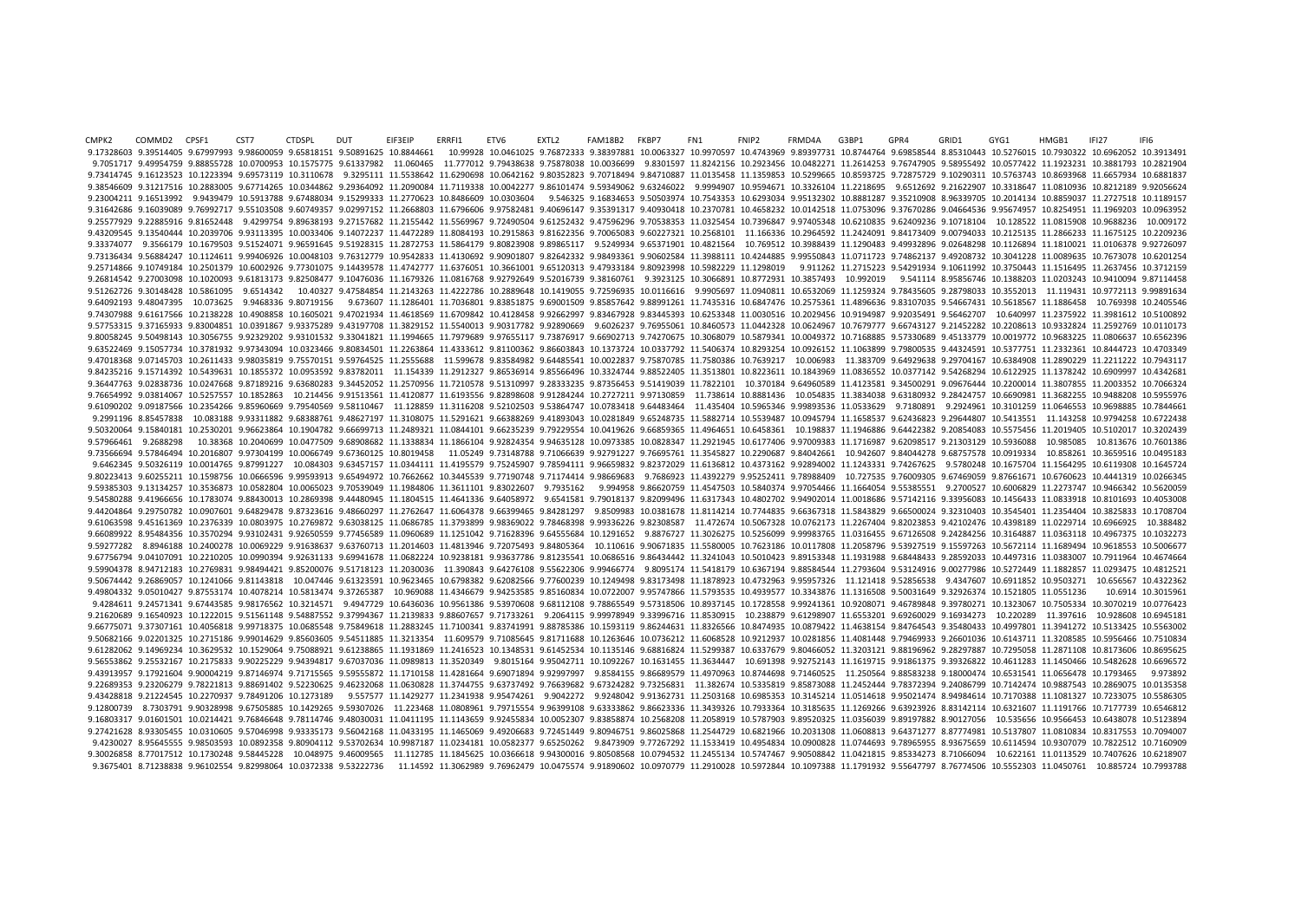CMPK2 COMMD2 CPSF1 CST7 CTDSPL DUT EIF3EIP ERRFI1 ETV6 EXTL2 FAM18B2 FKBP7 FN1 FNIP2 FRMD4A G3BP1 GPR4 GRID1 GYG1 HMGB1 IFI27 IFI6 9.17328603 9.39514405 9.67997993 9.98600059 9.65818151 9.50891625 10.8844661 10.99928 10.0461025 9.76872333 9.38397881 10.0063327 10.9070597 10.4743969 9.89397731 10.8744764 9.69858544 8.85310443 10.5276015 10.7930322 10.69 9.7051717 9.49954759 9.88855728 10.0700953 10.1575775 9.61337982 11.060465 11.777012 9.79438638 9.75878038 10.0036699 9.8301597 11.8242156 10.093456 10.0482271 11.2614253 9.76747905 9.58955492 10.0577422 11.1923231 10.38817 9.73414745 9.16123523 10.1223394 9.69573119 10.3110678 9.3295111 11.5538642 11.6290698 10.0642162 9.80352823 9.70718494 9.84710887 11.0135458 11.359853 10.5299665 10.8593725 9.72875729 9.10290311 10.5763743 10.8693968 11.66 9.38546609 9.31217516 10.2883005 9.67714265 10.0344862 9.29364092 11.2090084 11.7119338 10.0042277 9.86101474 9.59349062 9.63246022 9.9994907 10.9594671 10.3326104 11.2218695 9.6512692 9.21622907 10.3318647 11.0810936 10.82 9.23004211 9.16513992 9.9439479 10.5913788 9.67488034 9.15299333 11.2770623 10.8486609 10.0303604 9.546325 9.16834653 9.50503974 10.7543353 10.6293034 9.95132302 10.8881287 9.35210908 8.96339705 10.2014134 10.8859037 11.272 9.31642686 9.16039089 9.76992717 9.55103508 9.60749357 9.02997152 11.2668803 11.6796606 9.97582481 9.40696147 9.35391317 9.40930418 10.2370781 10.4658232 10.0142518 11.0753096 9.37670286 9.04664536 9.95674957 10.8254951 11. 9.25577929 9.22885916 9.81652448 9.4299754 9.89638193 9.27157682 11.2155442 11.5569967 9.72490504 9.61252432 9.47596296 9.70538353 11.0325454 10.7396847 9.97405348 10.6210835 9.62409236 9.10718104 10.128522 11.0815908 10.96 9.43209545 9.13540444 10.2039706 9.93113395 10.0033406 9.14072237 11.4472289 11.8084193 10.2915863 9.81622356 9.70065083 9.60227321 10.2568101 11.166336 10.2964592 11.2424091 9.84173409 9.00794033 10.2125135 11.2866233 11.1 9.33374077 9.3566179 10.1679503 9.51524071 9.96591645 9.51928315 11.2872753 11.5864179 9.80823908 9.89865117 9.5249934 9.65371901 10.4821564 10.769512 10.3988439 11.1290483 9.49932896 9.02648298 10.1126894 11.1810021 11.010 9.73136434 9.56884247 10.1124611 9.99406926 10.0048103 9.76312779 10.9542833 11.4130692 9.90901807 9.82642332 9.98493361 9.90602584 11.3988111 10.4244885 9.99550843 11.0711723 9.74862137 9.49208732 10.3041228 11.0089635 10. 9.25714866 9.10749184 10.2501379 10.6002926 9.77301075 9.14439578 11.4742777 11.6376051 10.3661001 9.65120313 9.47933184 9.80923998 10.5982229 11.1298019 9.911262 11.2715223 9.54291934 9.10611992 10.3750443 11.1516495 11.26 9.26814542 9.27003098 10.1020093 9.61813173 9.82508477 9.10476036 11.1679326 11.0816768 9.92792649 9.52016739 9.38160761 9.3923125 10.3066891 10.8772931 10.3857493 10.992019 9.541114 8.95856746 10.1388203 11.0203243 10.9410 9.511267726 9.30148428 10.5861095 9.6514342 10.40327 9.47584854 11.2143263 11.4222786 10.2889648 10.1419055 9.72596935 10.0116616 9.9905697 11.0940811 10.6532069 11.1259324 9.78435605 9.28798033 10.3552013 11.119431 10.9772 9.64092193 9.48047395 10.073625 9.9468336 9.80719156 9.673607 11.1286401 11.7036801 9.83851875 9.69001509 9.85857642 9.88991261 11.7435316 10.6847476 10.2575361 11.4896636 9.83107035 9.54667431 10.5618567 11.1886458 10.7693 9.74307988 9.61617566 10.2138228 10.4908858 10.1605021 9.47021934 11.4618569 11.6709842 10.4128458 9.92662997 9.83467928 9.83445393 10.6253348 11.0030516 10.2029456 10.9194987 9.92035491 9.56462707 10.640997 11.2375922 11.3 9.57753315 9.37165933 9.83004851 10.0391867 9.93375289 9.43197708 11.3829152 11.5540013 9.90317782 9.92890669 9.6026237 9.76955061 10.8460573 11.0442328 10.0624967 10.7679777 9.66743127 9.21452282 10.2208613 10.9332824 11.2 9.80058245 9.50498143 10.3056755 9.92329202 9.93101532 9.33041821 11.1994665 11.7979689 9.97655117 9.73876917 9.66902713 9.74270675 10.3068079 10.5879341 10.0049372 10.7168885 9.57330689 9.45133779 10.0019772 10.9683225 11. 9.63522469 9.15057734 10.3781932 9.97343094 10.0323466 9.80834501 11.2263864 11.4333612 9.81100362 9.86603843 10.1373724 10.037772 11.5406374 10.8293254 10.0926152 11.1063899 9.79800535 9.44324591 10.5377751 11.2332361 10.8 9.47018368 9.07145703 10.2611433 9.98035819 9.75570151 9.59764525 11.2555688 11.599678 9.83584982 9.64485541 10.0022837 9.75870785 11.7580386 10.7639217 10.006983 11.383709 9.64929638 9.29704167 10.6384908 11.2890229 11.221 9.84235216 9.15714392 10.5439631 10.1855372 10.0953592 9.83782011 11.154339 11.2912327 9.86536914 9.85566496 10.3324744 9.88522405 11.3513801 10.8223611 10.1843969 11.0836552 10.0377142 9.54268294 10.6122925 11.1378242 10.6 9.36447763 9.02838736 10.0247668 9.87189216 9.63680283 9.34452052 11.2570956 11.7210578 9.51310997 9.28333235 9.87356453 9.51419039 11.7822101 10.370184 9.64960589 11.4123581 9.34500291 9.09676444 10.2200014 11.3807855 11.2 9.76654992 9.03814067 10.5257557 10.1852863 10.214456 9.91513561 11.4120877 11.6193556 9.82898608 9.91284244 10.2727211 9.97130859 11.738614 10.8881436 10.054835 11.3834038 9.63180932 9.28424757 10.6690981 11.3682255 10.948 9.61090202 9.09187566 10.2354266 9.85960669 9.79540569 9.58110467 11.128859 11.3116208 9.52102503 9.53864747 10.0783418 9.64483464 11.435404 10.5965346 9.99893536 11.0533629 9.7180891 9.2924961 10.3101259 11.0646553 10.9698 9.2991196 8.85457838 10.083188 9.93311882 9.68388761 9.48627197 11.3108075 11.5291621 9.66388269 9.41893043 10.0281849 9.65248735 11.5882714 10.5539487 10.0945794 11.1658537 9.62436823 9.29644807 10.5413551 11.143258 10.979 9.50320064 9.15840181 10.2530201 9.96623864 10.1904782 9.66699713 11.2489321 11.0844101 9.66235239 9.79229554 10.0419626 9.66859365 11.4964651 10.198437 11.1946886 9.64422382 9.20854083 10.5575456 11.2019405 10.5420382 9.20 9.57966461 9.2688298 10.38368 10.2040699 10.0477509 9.68908682 11.1338834 11.1866104 9.92824354 9.94635128 10.0973385 10.0828347 11.2921945 10.6177406 9.97009383 11.1716987 9.62098517 9.21303129 10.5936088 10.985085 10.8136 9.73566694 9.57846494 10.2016807 9.97304199 10.0066749 9.67360125 10.8019458 11.05249 9.73148788 9.71066639 9.92791227 9.76695761 11.3545827 10.2290687 9.84042661 10.942607 9.84044278 9.68757578 10.0919334 10.858261 10.9455 9.6462345 9.50326119 10.0014765 9.87991227 10.084303 9.63457157 11.0344111 11.4195579 9.75245907 9.78594111 9.96659832 9.82372029 11.6136812 10.4373162 9.92894002 11.1243331 9.74267625 9.5780248 10.1675704 11.1564295 10.611 9.80223413 9.60255211 10.1598756 10.0666596 9.99593913 9.65494972 10.7662662 10.3445539 9.77190748 9.71174414 9.98669683 9.7686923 11.4392279 9.95252411 9.78988409 10.727535 9.76009305 9.67469059 9.87661671 10.6760623 10.44 9.59385303 9.13134257 10.3536873 10.0582804 10.0065023 9.70539049 11.1984806 11.3611101 9.83022607 9.7935162 9.994958 9.86620759 11.4547503 10.5840374 9.97054466 11.1664054 9.55385551 9.2700527 10.6006829 11.2273747 10.9466 9.54580288 9.41966656 10.1783074 9.88430013 10.2869398 9.44480945 11.1804515 11.4641336 9.64058972 9.6541581 9.79018137 9.82099496 11.6317343 10.4802702 9.94902014 11.0018686 9.57142116 9.33956083 10.1456433 11.0833918 10.8 9.44204864 9.29750782 10.0907601 9.64829478 9.87323616 9.48660297 11.2762647 11.6064378 9.66399465 9.84281297 9.8509983 10.0381678 11.8114214 10.7744835 9.66367318 11.5843829 9.66500024 9.32310403 10.3545401 11.2354404 10.3 9.61063598 9.45161369 10.2376339 10.0803975 10.2769872 9.63038125 11.0686785 11.3793899 9.98360022 9.78468398 9.99336226 9.82308587 11.472674 10.5067328 10.0762173 11.2267404 9.82023853 9.42102476 10.4398189 11.0229714 10.6 9.66089922 8.95484356 10.3570294 9.93102431 9.92650559 9.77456589 11.0960689 11.1251042 9.71628396 9.64555684 10.1291652 9.8876727 11.3026275 10.5256099 9.99983765 11.0316455 9.67126508 9.24284256 10.3164887 11.0363118 10.4 9.59277282 8.8946188 10.2400278 10.0069229 9.91638637 9.63760713 11.2014603 11.4813946 9.72075493 9.84805364 10.110616 9.90671835 11.5580005 10.7623186 10.0117808 11.2058796 9.53927519 9.15597263 10.5672114 11.1689494 10.96 9.67756794 9.04107091 10.2210205 10.0990394 9.92631133 9.69941678 11.0682224 10.9238181 9.93637786 9.81235541 10.0686516 9.86434442 11.3241043 10.5010423 9.89153348 11.1931988 9.68448433 9.28592033 10.4497316 11.0383007 10. 9.59904378 8.94712183 10.2769831 9.98494421 9.85200076 9.51718123 11.2030036 11.390843 9.64276108 9.55622306 9.99466774 9.8095174 11.5418179 10.6367194 9.88584544 11.2793604 9.53124916 9.00277986 10.5272449 11.1882857 11.02 9.50674442 9.26869057 10.1241066 9.81143818 10.047446 9.61323591 10.9623465 10.6798382 9.62082566 9.77600239 10.1249498 9.83173498 11.1878923 10.4732963 9.95957326 11.121418 9.52856538 9.4347607 10.6911852 10.9503271 10.656 9.49804332 9.05010427 9.87553174 10.4078214 10.5813474 9.37265387 10.969088 11.4346679 9.94253585 9.85160834 10.0722007 9.95747866 11.5793535 10.4939577 10.3343876 11.1316508 9.50031649 9.32926374 10.1521805 11.0551236 10.6 9.4284611 9.24571341 9.67443585 9.98176562 10.3214571 9.4947729 10.6436036 10.9561386 9.53970608 9.68112108 9.78865549 9.57318506 10.8937145 10.1728558 9.99241361 10.9208071 9.46789848 9.39780271 10.1323067 10.7505334 10.30 9.21620689 9.16540923 10.1222015 9.51561148 9.54887552 9.37994367 11.2139833 9.88607657 9.71733261 9.2064115 9.99978949 9.33996716 11.8530915 10.238879 9.61298907 11.6553201 9.69260029 9.16934273 10.220289 11.397616 10.9286 9.66775071 9.37307161 10.4056818 9.99718375 10.0685548 9.75849618 11.2883245 11.7100341 9.83741991 9.88785386 10.1593119 9.86244631 11.8326566 10.8474935 10.0879422 11.4638154 9.84764543 9.35480433 10.4997801 11.3941272 10. 9.50682166 9.02201325 10.2715186 9.99014629 9.85603605 9.54511885 11.3213354 11.609579 9.71085645 9.81711688 10.1263646 10.0736212 11.6068528 10.9212937 10.0281856 11.4081448 9.79469933 9.26601036 10.6143711 11.3208585 10.5 9.61282062 9.14969234 10.3629532 10.1529064 9.75088921 9.61238865 11.1931869 11.2416523 10.1348531 9.61452534 10.1135146 9.68816824 11.5299387 10.6337679 9.80466052 11.3203121 9.88196962 9.28297887 10.7295058 11.2871108 10. 9.56553862 9.25532167 10.2175833 9.90225229 9.94394817 9.67037036 11.0989813 11.3520349 9.8015164 9.95042711 10.1092267 10.1631455 11.3634447 10.691398 9.92752143 11.1619715 9.91861375 9.39326822 10.4611283 11.1450466 10.54 9.43913957 9.17921604 9.90004219 9.87146974 9.71715565 9.59555872 11.1710158 11.4281664 9.69071894 9.92997997 9.8584155 9.86689579 11.4970963 10.8744698 9.71460525 11.250564 9.88583238 9.18000474 10.6531541 11.0656478 10.17 9.22689353 9.23206279 9.78221813 9.88691402 9.52230625 9.46232068 11.0630828 11.3744755 9.63737492 9.76639682 9.67324282 9.73256831 11.382674 10.5335819 9.85873088 11.2452444 9.78372394 9.24086799 10.7142474 10.9887543 10.2 9.43428818 9.21224545 10.2270937 9.78491206 10.1273189 9.557577 11.1429277 11.2341938 9.95474261 9.9042272 9.9248042 9.91362731 11.2503168 10.6985353 10.3145214 11.0514618 9.95021474 8.94984614 10.7170388 11.1081327 10.7233 9.12800739 8.7303791 9.90328998 9.67505885 10.1429265 9.59307026 11.223468 11.0808961 9.79715554 9.96399108 9.63333862 9.86623336 11.3439326 10.7933364 10.3185635 11.1269266 9.63923926 8.83142114 10.6321607 11.1191766 10.71 9.16803317 9.01601501 10.0214421 9.76846648 9.78114746 9.48030031 11.0411195 11.1143659 9.92455834 10.0052307 9.83858874 10.2568208 11.2058919 10.5787903 9.89520325 11.0356039 9.89197882 8.90127056 10.555656 10.9566453 10.6 9.27421628 8.93305455 10.0310605 9.57046998 9.93335173 9.56042168 11.0433195 11.1465069 9.49206683 9.72451449 9.80946751 9.86025868 11.2544729 10.6821966 10.2031308 11.0608813 9.64371277 8.87774981 10.5137807 11.0810834 10. 9.4230027 8.95645555 9.98503593 10.0892358 9.80904112 9.53702634 10.9987187 11.0234181 10.0582377 9.65250262 9.8473909 9.77267292 11.1533419 10.4954834 10.0900828 11.0744693 9.78965955 8.93675659 10.6114594 10.9307079 10.78 9.30026858 8.77017512 10.1730248 9.58445228 10.048975 9.46009565 11.112785 11.1845625 10.0366618 9.94300016 9.80508568 10.0794532 11.2455134 10.5747467 9.90508842 11.0421815 9.85334273 8.71066094 10.622161 11.0113529 10.740 9.3675401 8.71238838 9.96102554 9.82998064 10.0372338 9.53222736 11.14592 11.3062989 9.76962479 10.0475574 9.91890602 10.0970779 11.2910028 10.5972844 10.1097388 11.1791932 9.55647797 8.76774506 10.5552303 11.0450761 10.885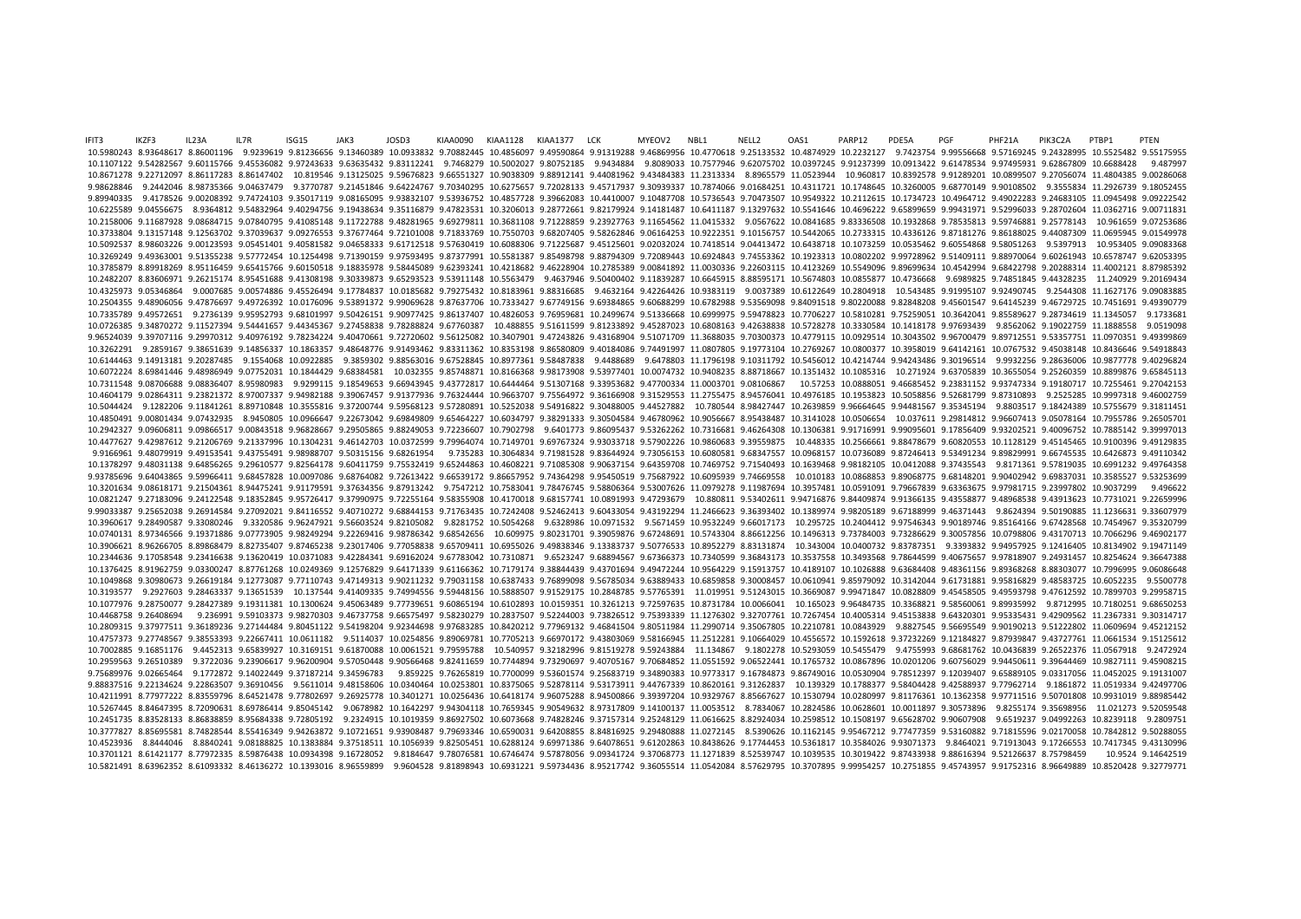IFIT3 IKZF3 IL23A IL7R ISG15 JAK3 JOSD3 KIAA0090 KIAA1128 KIAA1377 LCK MYEOV2 NBL1 NELL2 OAS1 PARP12 PDE5A PGF PHF21A PIK3C2A PTBP1 PTEN 10.5980243 8.93648617 8.86001196 9.9239619 9.81236656 9.13460389 10.0933832 9.70882445 10.4856097 9.49590864 9.91319288 9.46869956 10.4770618 9.25133532 10.4874929 10.232127 9.7423754 9.99556668 9.57169245 9.24328995 10.552 10.1107122 9.54282567 9.60115766 9.45536082 9.97243633 9.63635432 9.83112241 9.7468279 10.5002027 9.80752185 9.9434884 9.8089033 10.7577946 9.62075702 10.0397245 9.91237399 10.0913422 9.61478534 9.97495931 9.62867809 10.668 10.8671278 9.22712097 8.86117283 8.86147402 10.819546 9.13125025 9.56675823 9.66551327 10.9038309 9.88912141 9.44081962 9.43484383 11.2313334 8.8965579 11.0523944 10.960817 10.8392578 9.91289201 10.0899507 9.27056074 11.480 9.98628846 9.2442046 8.98735366 9.04637479 9.3770787 9.21451846 9.64224767 9.70340295 10.6275657 9.72028133 9.45717937 9.30939337 10.7874066 9.01684251 10.4311721 10.1748645 10.3260005 9.68770149 9.90108502 9.3555834 11.292 9.89940335 9.4178526 9.00208392 9.74724103 9.35017119 9.08165095 9.93832107 9.53936752 10.4857728 9.39662083 10.4410007 9.10487708 10.5736543 9.70473507 10.9549322 10.2112615 10.1734723 10.4964712 9.49022283 9.24683105 11.0 10.6225589 9.04556675 8.9364812 9.54832964 9.40294756 9.19438634 9.35116879 9.47823531 10.3206013 9.28772661 9.82179924 9.14181487 10.6411187 9.13297632 10.5541646 10.4696222 9.65899659 9.99431971 9.52996033 9.28702604 11.0 10.2158006 9.11687928 9.08684715 9.07840795 9.41085148 9.11722788 9.48281965 9.69279811 10.3681108 9.71228859 9.23927763 9.11654562 11.0415332 9.0567622 10.0841685 9.83336508 10.1932868 9.78535813 9.59746881 9.25778143 10.9 10.3733804 9.13157148 9.12563702 9.37039637 9.09276553 9.37677464 9.72101008 9.71833769 10.7550703 9.68207405 9.58262846 9.06164253 10.9222351 9.10156757 10.5442065 10.2733315 10.4336126 9.87181276 9.86188025 9.44087309 11. 10.5092537 8.98603226 9.00123593 9.05451401 9.40581582 9.04658333 9.61712518 9.57630419 10.6088306 9.71225687 9.45125601 9.02032024 10.7418514 9.04413472 10.6438718 10.1073259 10.0535462 9.60554868 9.58051263 9.5397913 10.9 10.3269249 9.49363001 9.51355238 9.57772454 10.1254498 9.71390159 9.97593495 9.87377991 10.5581387 9.85498798 9.88794309 9.72089443 10.6924843 9.74553362 10.1923313 10.0802202 9.99728962 9.51409111 9.88970064 9.60261943 10. 10.3785879 8.89918269 8.95116459 9.65415766 9.60150518 9.18835978 9.58445089 9.62393241 10.4218682 9.46228904 10.2785389 9.00841892 11.0030336 9.22603115 10.4123269 10.5549096 9.89699634 10.4542994 9.68422798 9.20288314 11. 10.2482207 8.83606971 9.26215174 8.95451688 9.41308198 9.30339873 9.5293523 9.53911148 10.5563479 9.4637946 9.50400402 9.11839287 10.6645915 8.88595171 10.5674803 10.0855877 10.4736668 9.6989825 9.74851845 9.44328235 11.240 10.4325973 9.05346864 9.0007685 9.00574886 9.45526494 9.17784837 10.0185682 9.79275432 10.8183961 9.88316685 9.4632164 9.42264426 10.9383119 9.0037389 10.6122649 10.2804918 10.543485 9.91995107 9.92490745 9.2544308 11.16271 10.02504355 9.48906056 9.47876697 9.49726392 10.0176096 9.53891372 9.99069628 9.87637706 10.7333427 9.67749156 9.69384865 9.60688299 10.6782988 9.53569098 9.84091518 9.80220088 9.82848208 9.45601547 9.64145239 9.46729725 10 10.7335789 9.49572651 9.2736139 9.95952793 9.68101997 9.50426151 9.90977425 9.86137407 10.4826053 9.76959681 10.2499674 9.51336668 10.6999975 9.59478823 10.7706227 10.5810281 9.75259051 10.3642041 9.85589627 9.28734619 11.1 10.0726385 9.34870272 9.11527394 9.54441657 9.44345367 9.27458838 9.78288824 9.67760387 10.488855 9.51611599 9.81233892 9.45287023 10.6808163 9.42638838 10.5728278 10.3330584 10.1418178 9.97693439 9.8562062 9.19022759 11.18 9.96524039 9.39707116 9.29970312 9.40976192 9.78234224 9.40470661 9.72720602 9.56125082 10.3407901 9.47243826 9.43168904 9.51071709 11.3688035 9.70300373 10.4779115 10.0929514 10.3043502 9.96700479 9.89712551 9.53357751 11. 10.3262291 9.2859167 9.38651639 9.14856337 10.1863357 9.48648776 9.91493462 9.83311362 10.8353198 9.86580809 9.40184086 9.74491997 11.0807805 9.19773104 10.2769267 10.0800377 10.3958019 9.64142161 10.0767532 9.45038148 10.8 10.6144463 9.14913181 9.20287485 9.1554068 10.0922885 9.3859302 9.88563016 9.67528845 10.8977361 9.58487838 9.4488689 9.6478803 11.1796198 9.10311792 10.5456012 10.4214744 9.94243486 9.30196514 9.9932256 9.28636006 10.98777 10.6072224 8.69841446 9.48986949 9.07752031 10.1844429 9.68384581 10.032355 9.85748871 10.8166368 9.98173908 9.53977401 10.0074732 10.9408235 8.88718667 10.1351432 10.1085316 10.271924 9.63705839 10.3655054 9.25260359 10.88 10.7311548 9.08706688 9.08836407 8.95980983 9.9299115 9.18549653 9.66943945 9.43772817 10.6444464 9.51307168 9.33953682 9.47700334 11.0003701 9.08106867 10.57253 10.0888051 9.46685452 9.23831152 9.93747334 9.19180717 10.725 10.4604179 9.02864311 9.23821372 8.97007337 9.94982188 9.39067457 9.91377936 9.76324444 10.9663707 9.75564972 9.36166908 9.31529553 11.2755475 8.94576041 10.4976185 10.1953823 10.5058856 9.52681799 9.87310893 9.82525285 10. 10.5044424 9.1282206 9.11841261 8.89710848 10.3555816 9.37200744 9.59568123 9.57280891 10.5252038 9.54916822 9.30488005 9.44527882 10.780544 8.98427447 10.2639859 9.96664645 9.94481567 9.35345194 9.8803517 9.18424389 10.575 10.4850491 9.00801434 9.07432935 8.9450805 10.0966647 9.22673042 9.69849809 9.65464227 10.6034797 9.38291333 9.30504584 9.46780962 10.9056667 8.95438487 10.3141028 10.0506654 10.037611 9.29814812 9.96607413 9.05078164 10.79 10.2942327 9.09606811 9.09866517 9.00843518 9.96828667 9.29505865 9.88249053 9.72236607 10.7902798 9.6401773 9.86095437 9.53262262 10.7316681 9.46264308 10.1306381 9.91716991 9.99095601 9.17856409 9.93202521 9.40096752 10.7 10.4477627 9.42987612 9.21206769 9.21337996 10.1304231 9.46142703 10.0372599 9.79964074 10.7149701 9.69767324 9.93033718 9.57902226 10.9860683 9.39559875 10.448335 10.2566661 9.88478679 9.60820553 10.1128129 9.45145465 10.9 9.9166961 9.48079919 9.49153541 9.43755491 9.98988707 9.50315156 9.68261954 9.735283 10.3064834 9.71981528 9.83644924 9.73056153 10.6080581 9.68347557 10.0968157 10.0736089 9.87246413 9.53491234 9.89829991 9.66745535 10.642 10.1378297 9.48031138 9.64856265 9.29610577 9.82564178 9.60411759 9.75532419 9.65244863 10.4608221 9.71085308 9.90637154 9.64359708 10.7469752 9.71440493 10.1639468 9.98182105 10.0412088 9.37435543 9.8171361 9.57819035 10.6 9.93785696 9.64043865 9.59966411 9.68457828 10.0097086 9.68764082 9.72613422 9.66539172 9.86657952 9.74364298 9.95450519 9.75687922 10.6095939 9.74669558 10.010183 10.0868853 9.89068775 9.68148201 9.90402942 9.69837031 10.3 10.3201634 9.08618171 9.21504361 8.94475241 9.91179591 9.37634356 9.87913242 9.7547212 10.7583041 9.78476745 9.58806364 9.53007626 11.0979278 9.11987694 10.3957481 10.0591091 9.79667839 9.63363675 9.97981715 9.23997802 10.9 10.0821247 9.27183096 9.24122548 9.18352845 9.95726417 9.37990975 9.72255164 9.58355908 10.4170018 9.68157741 10.0891993 9.47293679 10.880811 9.53402611 9.94716876 9.84409874 9.91366135 9.43558877 9.48968538 9.43913623 10.7 9.99033387 9.25652038 9.26914584 9.27092021 9.84116552 9.40710272 9.68844153 9.71763435 10.7242408 9.52462413 9.60433054 9.43192294 11.2466623 9.36393402 10.1389974 9.98205189 9.67188999 9.46371443 9.8624394 9.50190885 11.1 10.3960617 9.28490587 9.33080246 9.3320586 9.96247921 9.56603524 9.82105082 9.8281752 10.5054268 9.6328986 10.0971532 9.5671459 10.9532249 9.66017173 10.295725 10.2404412 9.97546343 9.90189746 9.85164166 9.67428568 10.74549 10.0740131 8.97346566 9.19371886 9.07773905 9.98249294 9.22269416 9.98786342 9.68542656 10.609975 9.80231701 9.39059876 9.67248691 10.5743304 8.86612256 10.1496313 9.73784003 9.73786629 9.30057856 10.0798806 9.43170713 10.7 10.3906621 8.96266705 8.89868479 8.82735407 9.87465238 9.23017406 9.77058838 9.65709411 10.6955026 9.49838346 9.13383737 9.50776533 10.8952279 8.83131874 10.343004 10.0400732 9.83787351 9.3393832 9.94957925 9.12416405 10.81 10.0371068548 127058548 128416638 136620419 10.0371083 142284341 169162024 16.7783042 10.7310871 16523247 168894567 167366373 10.7340599 136843173 10.3537558 10.3493568 178644599 140675657 10.87818907 16.2254624 1.36647388 10.1376425 8.91962759 9.03300247 8.87761268 10.0249369 9.12576829 9.64171339 9.61166362 10.7179174 9.38844439 9.43701694 9.49472244 10.9564229 9.15913757 10.4189107 10.1026888 9.63684408 9.48361156 9.89368268 8.88303077 10. 10.009868 9.30980673 9.26619184 9.12773087 9.77110743 9.47149313 9.90211232 9.79031158 10.6387433 9.76899098 9.56785034 9.63889433 10.6859858 9.30008457 10.0610941 9.85979092 10.3142044 9.61731881 9.95816829 9.48583725 10.6 10.3193577 9.2927603 9.28463337 9.13651539 10.137544 9.41409335 9.74994556 9.59448156 10.5888507 9.91529175 10.2848785 9.57765391 11.019951 9.51243015 10.3669087 9.99471847 10.0828809 9.45458505 9.49593798 9.47612592 10.789 10.1077976 9.28750077 9.28427389 9.19311381 10.1300624 9.45063489 9.77739651 9.60865194 10.6102893 10.0159351 10.3261213 9.72597635 10.8731784 10.0066041 10.165023 9.96484735 10.3368821 9.58560061 9.89935992 9.8712995 10.71 10.4468758 9.26408694 9.236991 9.59103373 9.98270303 9.46737758 9.66575497 9.58230279 10.2837507 9.52244003 9.73826512 9.75393339 11.1276302 9.32707761 10.7267454 10.4005314 9.45153838 9.64320301 9.95335431 9.42909562 11.23 10.2809315 9.37977511 9.36189236 9.27144484 9.80451122 9.54198204 9.92344698 9.97683285 10.8420212 9.77969132 9.46841504 9.80511984 11.2990714 9.35067805 10.2210781 10.0843929 9.8827545 9.56695549 9.90190213 9.51222802 11.0 10.4757373 9.27748567 9.38553393 9.22667411 10.0611182 9.5114037 10.0254856 9.89069781 10.7705213 9.66970172 9.43803069 9.58166945 11.2512281 9.10664029 10.4556572 10.1592618 9.37232269 9.12184827 9.87939847 9.43727761 11.0 10.7002885 9.16851176 9.4452313 9.65839927 10.3169151 9.61870088 10.0061521 9.79595788 10.540957 9.32182996 9.81519278 9.59243884 11.134867 9.1802278 10.5293059 10.5455479 9.4755993 9.68681762 10.0436839 9.26522376 11.05679 10.2959563 9.26510389 9.3722036 9.23906617 9.96200904 9.57050448 9.90566468 9.82411659 10.7744894 9.73290697 9.40705167 9.70684852 11.0551592 9.06522441 10.1765732 10.0867896 10.0201206 9.60756029 9.94450611 9.39644469 10.9 9.75689976 9.02665464 9.1772872 9.14022449 9.37187214 9.34596783 9.859225 9.76265819 10.7700099 9.53601574 9.25683719 9.34890383 10.9773317 9.16784873 9.86749016 10.0530904 9.78512397 9.12039407 9.65889105 9.03317056 11.045 9.88837516 9.22134624 9.22863507 9.36910456 9.5611014 9.48158606 10.0340464 10.0253801 10.8375065 9.52878114 9.53173911 9.44767339 10.8620161 9.31262837 10.139329 10.1788377 9.58404428 9.42588937 9.77962714 9.1861872 11.051 10.4211991 8.77977222 8.83559796 8.64521478 9.77802697 9.26925778 10.3401271 10.0256436 10.6418174 9.96075288 8.94500866 9.39397204 10.9329767 8.85667627 10.1530794 10.0280997 9.81176361 10.1362358 9.97711516 9.50701808 10. 10.5267445 8.84647395 8.72090631 8.69786414 9.85045142 9.0678982 10.1642297 9.94304118 10.7659345 9.90549632 8.97317809 9.14100137 11.0053512 8.7834067 10.2824586 10.0628601 10.0011897 9.30573896 9.8255174 9.35698956 11.021 10.2451735 8.83528133 8.86838859 8.95684338 9.72805192 9.2324915 10.1019359 9.86927502 10.6073668 9.74828246 9.37157314 9.25248129 11.0616625 8.82924034 10.2598512 10.1508197 9.65628702 9.90607908 9.6519237 9.04992263 10.82 10.3777827 8.85695581 8.74828544 8.55416349 9.94263872 9.10721651 9.93908487 9.79693346 10.6590031 9.64208855 8.84816925 9.29480888 11.0272145 8.5390626 10.1162145 9.95467212 9.77477359 9.53160882 9.71815596 9.02170058 10.7  $10.4523936 \quad 8.8444046 \quad 8.8840241 \quad 9.08188825 \quad 10.1383884 \quad 9.37518511 \quad 10.1056939 \quad 9.82505451 \quad 10.6288124 \quad 9.69971386 \quad 9.64078651 \quad 9.61202863 \quad 10.8438626 \quad 9.17744453 \quad 10.5361817 \quad 10.3584026 \quad 9.93071373 \quad 9$ 10.9701121 8.61421177 8.77972335 8.59876438 10.0934398 9.16728052 9.8184647 9.78076581 10.6746474 9.57878056 9.09341724 9.37068773 11.1271839 8.52539747 10.1039535 10.3019422 9.87433938 9.88616394 9.52126637 8.75798459 10.9 10.5821491 8.63962352 8.61093332 8.46136272 10.1393016 8.96559899 9.9604528 9.81898943 10.6931221 9.59734436 8.95217742 9.36055514 11.0542084 8.57629795 10.3707895 9.99954257 10.2751855 9.45743957 9.91752316 8.96649889 10.8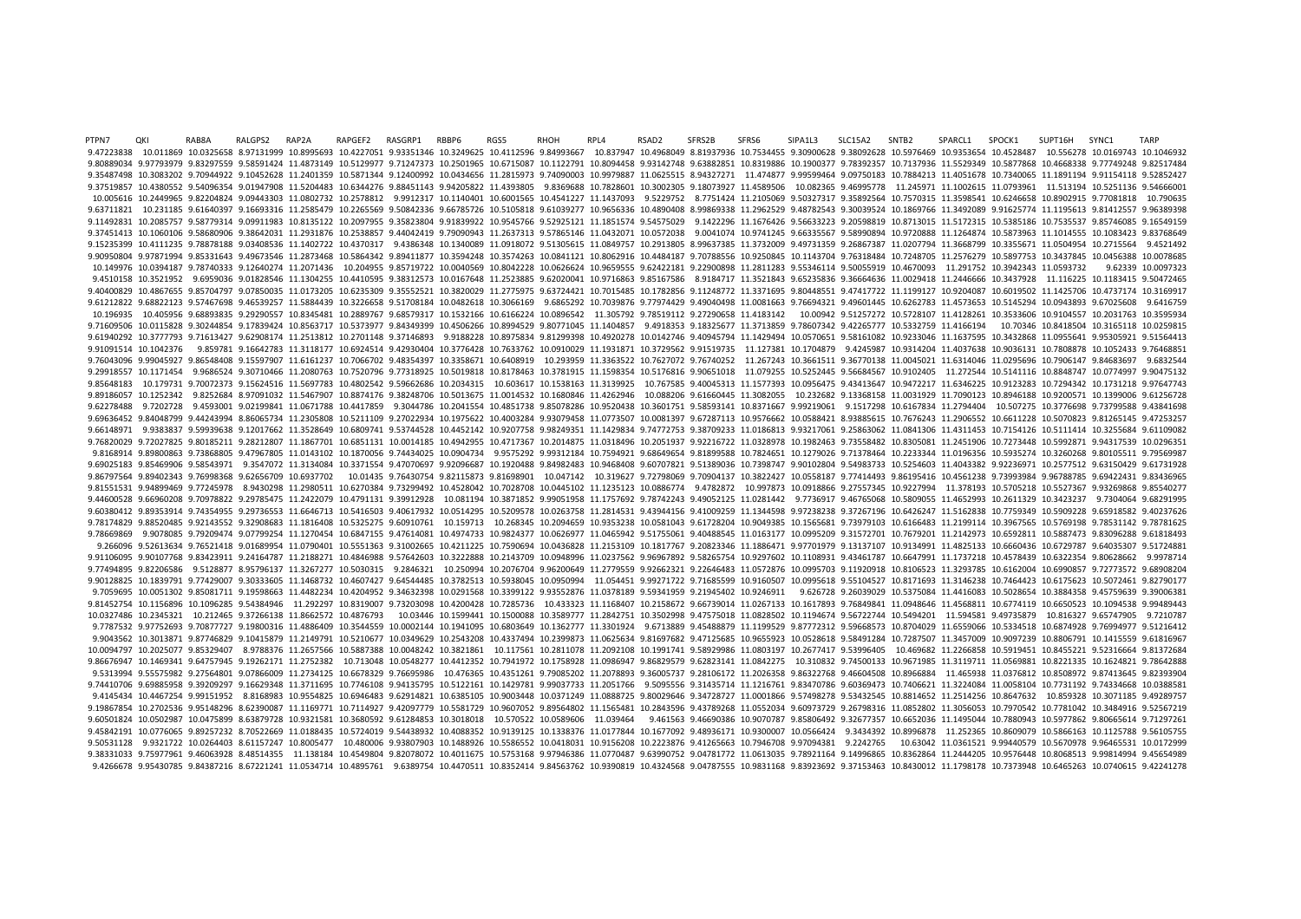PTPN7 QKI RAB8A RALGPS2 RAP2A RAPGEF2 RASGRP1 RBBP6 RGS5 RHOH RPL4 RSAD2 SFRS2B SFRS6 SIPA1L3 SLC15A2 SNTB2 SPARCL1 SPOCK1 SUPT16H SYNC1 TARP 9.47223838 10.011869 10.0325658 8.97131999 10.8995693 10.4227051 9.93351346 10.3249625 10.4112596 9.84993667 10.837947 10.4968049 8.81937936 10.7534455 9.30900628 9.38092628 10.5976469 10.9353654 10.4528487 10.556278 10.016 9.80889034 9.97793979 9.83297559 9.58591424 11.4873149 10.5129977 9.71247373 10.2501965 10.6715087 10.1122791 10.8094458 9.93142748 9.63882851 10.8319886 10.1900377 9.78392357 10.7137936 11.5529349 10.5877868 10.4668338 9.7 9.35487498 10.3083202 9.70944922 9.10452628 11.2401359 10.5871344 9.12400992 10.0434656 11.2815973 9.74090003 10.9979887 11.0625515 8.94327271 11.474877 9.99599464 9.09750183 10.7884213 11.4051678 10.7340065 11.1891194 9.91 9.37519857 10.4380552 9.54096354 9.01947908 11.5204483 10.6344276 9.88451143 9.94205822 11.4393805 9.8369688 10.7828601 10.3002305 9.18073927 11.4589506 10.082365 9.46995778 11.245971 11.1002615 11.0793961 11.513194 10.5251 10.005616 10.2449965 9.82204824 9.09443303 11.0802732 10.2578812 9.9912317 10.1140401 10.6001565 10.4541227 11.1437093 9.5229752 8.7751424 11.2105069 9.50327317 9.35892564 10.7570315 11.3598541 10.6246658 10.8902915 9.77081 9.63711821 10.231185 9.61640397 9.16693316 11.2585479 10.2265569 9.50842336 9.66785726 10.5105818 9.61039277 10.9656336 10.4890408 8.99869338 11.2962529 9.48782543 9.30039524 10.1869766 11.3492089 9.91625774 11.1195613 9.81 9.11492831 10.2085757 9.58779314 9.09911983 10.8135122 10.2097955 9.35823804 9.91839922 10.9545766 9.52925121 11.1851574 9.54575029 9.1422296 11.1676426 9.56633223 9.20598819 10.8713015 11.5172315 10.5385186 10.7535537 9.85 9.37451413 10.1060106 9.58680906 9.38642031 11.2931876 10.2538857 9.44042419 9.79090943 11.2637313 9.57865146 11.0432071 10.0572038 9.0041074 10.9741245 9.66335567 9.58990894 10.9720888 11.1264874 10.5873963 11.1014555 10.1 9.15235399 10.4111235 9.78878188 9.03408536 11.1402722 10.4370317 9.4386348 10.1340089 11.0918072 9.51305615 11.0849757 10.2913805 8.99637385 11.3732009 9.49731359 9.26867387 11.0207794 11.3668799 10.3355671 11.0504954 10.2 9.90950804 9.97871994 9.85331643 9.49673546 11.2873468 10.5864342 9.89411877 10.3594248 10.3574263 10.0841121 10.8062916 10.4484187 9.70788556 10.9250845 10.1143704 9.76318484 10.7248705 11.2576279 10.5897753 10.3437845 10. 10.149976 10.0394187 9.78740333 9.12640274 11.2071436 10.204955 9.85719722 10.0040569 10.8042228 10.0626624 10.9659555 9.62422181 9.22900898 11.2811283 9.55346114 9.50055919 10.4670093 11.291752 10.3942343 11.0593732 9.6233 9.4510158 10.3521952 9.6959036 9.01828546 11.1304255 10.4410595 9.38312573 10.0167648 11.2523885 9.62020041 10.9716863 9.85167586 8.9184717 11.3521843 9.65235836 9.36664636 11.0029418 11.2446666 10.3437928 11.116225 10.1183 9.40400829 10.4867655 9.85704797 9.07850035 11.0173205 10.6235309 9.35552521 10.3820029 11.2775975 9.63724421 10.7015485 10.1782856 9.11248772 11.3371695 9.80448551 9.47417722 11.1199127 10.9204087 10.6019502 11.425706 10.4 9.61212822 9.68822123 9.57467698 9.46539257 11.5884439 10.3226658 9.51708184 10.0482618 10.3066169 9.6865292 10.7039876 9.77974429 9.49040498 11.0081663 9.76694321 9.49601445 10.6262783 11.4573653 10.5145294 10.0943893 9.67 10.196935 10.405956 9.68893835 9.29290557 10.8345481 10.2889767 9.68579317 10.1532166 10.6166224 10.0896542 11.305792 9.78519112 9.27290658 11.4183142 10.00942 9.51257272 10.5728107 11.4128261 10.3533606 10.9104557 10.20317 9.71609506 10.0115828 9.30244854 9.17839424 10.8563717 10.5373977 9.84349399 10.4506266 10.8994529 9.80771045 11.1404857 9.4918353 9.18325677 11.3713859 9.78607342 9.42265777 10.5332759 11.4166194 10.70346 10.8418504 10.316 9.61940292 10.3777793 9.71613427 9.62908174 11.2513812 10.2701148 9.37146893 9.9188228 10.8975834 9.81299398 10.4920278 10.0142746 9.40945794 11.1429494 10.0570651 9.58161082 10.9233046 11.1637595 10.3432868 11.0955641 9.95 9.91091514 10.1042376 9.859781 9.16642783 11.3118177 10.6924514 9.42930404 10.3776428 10.7633762 10.0910029 11.1931871 10.3729562 9.91519735 11.127381 10.1704879 9.4245987 10.9314204 11.4037638 10.9036131 10.7808878 10.1052 9.76043096 9.99045927 9.86548408 9.15597907 11.6161237 10.7066702 9.48354397 10.3358671 10.6408919 10.293959 11.3363522 10.7627072 9.76740252 11.267243 10.3661511 9.36770138 11.0045021 11.634046 11.0295696 10.7906147 9.8468 9.29918557 10.1171454 9.9686524 9.30710466 11.2080763 10.7520796 9.77318925 10.5019818 10.8178463 10.3781915 11.1598354 10.5176816 9.90651018 11.079255 10.5252445 9.56684567 10.9102405 11.272544 10.5141116 10.8848747 10.077 9.85648183 10.179731 9.70072373 9.15624516 11.5697783 10.4802542 9.59662686 10.2034315 10.603617 10.1538163 11.3139925 10.767585 9.40045313 11.577393 10.0956475 9.43413647 10.9472217 11.6346225 10.9123283 10.7294342 10.1731 9.89186057 10.1252342 9.8252684 8.97091032 11.5467907 10.8874176 9.38248706 10.5013675 11.0014532 10.1680846 11.4262946 10.088206 9.61660445 11.3082055 10.232682 9.13368158 11.0031929 11.7090123 10.8946188 10.9200571 10.139 9.62278488 9.7202728 9.4593001 9.02199841 11.0671788 10.4417859 9.3044786 10.2041554 10.4851738 9.85078286 10.9520438 10.3601751 9.58593141 10.8371667 9.99219061 9.1517298 10.6167834 11.2794404 10.507275 10.3776698 9.737995 9.69636452 9.84048799 9.44243994 8.86065734 11.2305808 10.5211109 9.27022934 10.1975622 10.4003284 9.93079458 11.0773507 10.0081397 9.67287113 10.9576662 10.0588421 8.93885615 10.7676243 11.2906552 10.6611228 10.5070823 9.8 9.66148971 9.9383837 9.59939638 9.12017662 11.3528649 10.6809741 9.53744528 10.4452142 10.9207758 9.98249351 11.1429834 9.74772753 9.38709233 11.0186813 9.93217061 9.25863062 11.0841306 11.4311453 10.7154126 10.5111414 10.3 9.76820029 9.72027825 9.80185211 9.28212807 11.1867701 10.6851131 10.0014185 10.4942955 10.4717367 10.2014875 11.0318496 10.2051937 9.92216722 11.0328978 10.1982463 9.73558482 10.8305081 11.2451906 10.7273448 10.5992871 9.9 9.8168914 9.89800863 9.73868805 9.47967805 11.0143102 10.1870056 9.74434025 10.0904734 9.9575292 9.99312184 10.7594921 9.68649654 9.81899588 10.7824651 10.1279026 9.71378464 10.2233344 11.0196356 10.5935274 10.3260268 9.801 9.69025183 9.85469906 9.58543971 9.3547072 11.3134084 10.3371554 9.47070697 9.92096687 10.1920488 9.84982483 10.9468408 9.60707821 9.51389036 10.7398747 9.90102804 9.54983733 10.5254603 11.4043382 9.92236971 10.2577512 9.63 9.86797564 9.89402343 9.76998368 9.62656709 10.6937702 10.01435 9.76430754 9.82115873 9.81698901 10.047142 10.319627 9.72798069 9.70904137 10.3822427 10.0558187 9.77414493 9.86195416 10.4561238 9.73993984 9.96788785 9.69422 9.81551531 9.94899469 9.77245978 8.9430298 11.2980511 10.6270384 9.73299492 10.4528042 10.7028708 10.0445102 11.1235123 10.0886774 9.4782872 10.997873 10.0918866 9.27557345 10.9227994 11.378193 10.5705218 10.5527367 9.93269 9.44600528 9.66960208 9.70978822 9.29785475 11.2422079 10.4791131 9.39912928 10.081194 10.3871852 9.99051958 11.1757692 9.78742243 9.49052125 11.0281442 9.7736917 9.46765068 10.5809055 11.4652993 10.2611329 10.3423237 9.730 9.60380412 9.89353914 9.74354955 9.29736553 11.6646713 10.5416503 9.40617932 10.0514295 10.5209578 10.0263758 11.8814531 9.43944156 9.40009259 11.1344598 9.97238238 9.37267196 10.6426247 11.5162838 10.7759349 10.5909228 9.6 9.78174829 9.88520485 9.92143552 9.32908683 11.1816408 10.5325275 9.60910761 10.159713 10.268345 10.2094659 10.9353238 10.0581043 9.61728204 10.9049385 10.1565681 9.73979103 10.6166483 11.2199114 10.3967565 10.5769198 9.785 9.78669869 9.9078085 9.79209474 9.07799254 11.1270454 10.6847155 9.47614081 10.4974733 10.9824377 10.0626977 11.0465942 9.51755061 9.40488545 11.0163177 10.0995209 9.31572701 10.7679201 11.2142973 10.6592811 10.5887473 9.83 9.266096 9.52613634 9.76521418 9.01689954 11.0790401 10.5551363 9.31002665 10.4211225 10.7590694 10.0436828 11.2153109 10.1817767 9.20823346 11.1886471 9.97701979 9.13137107 10.9134991 11.4825133 10.6660436 10.6729787 9.640 9.91106095 9.90107768 9.83423911 9.24164787 11.2188271 10.4846988 9.57642603 10.3222888 10.2143709 10.0948996 11.0237562 9.96967892 9.58265754 10.9297602 10.1108931 9.43461787 10.6647991 11.1737218 10.4578439 10.6322354 9.8 9.77494895 9.82206586 9.5128877 8.95796137 11.3267277 10.5030315 9.2846321 10.250994 10.2076704 9.96200649 11.2779559 9.92662321 9.22646483 11.0572876 10.0995703 9.11920918 10.8106523 11.3293785 10.6162004 10.6990857 9.7277 9.90128825 10.1839791 9.77429007 9.30333605 11.1468732 10.4607427 9.64544485 10.3782513 10.5938045 10.0950994 11.054451 9.99271722 9.71685599 10.9160507 10.0995618 9.55104527 10.8171693 11.3146238 10.7464423 10.6175623 10.5 9.7059695 10.0051302 9.85081711 9.19598663 11.4482234 10.4204952 9.34632398 10.0291568 10.3399122 9.93552876 11.0378189 9.59341959 9.21945402 10.9246911 9.626728 9.26039029 10.5375084 11.4416083 10.5028654 10.3884358 9.4575 9.81452754 10.1156896 10.1096285 9.54384946 11.292297 10.8319007 9.73203098 10.4200428 10.7285736 10.433323 11.1168407 10.2158672 9.66739014 11.0267133 10.1617893 9.76849841 11.0948646 11.4568811 10.6774119 10.6650523 10.10 10.0327486 10.2345321 10.212465 9.37266138 11.8662572 10.4876793 10.03446 10.1599441 10.1500088 10.3589777 11.2842751 10.3502998 9.47575018 11.0828502 10.1194674 9.56722744 10.5494201 11.594581 9.49735879 10.816327 9.657479 9.7787532 9.97752693 9.70877727 9.19800316 11.4886409 10.3544559 10.0002144 10.1941095 10.6803649 10.1362777 11.3301924 9.6713889 9.45488879 11.1199529 9.87772312 9.59668573 10.8704029 11.6559066 10.5334518 10.6874928 9.769 9.9043562 10.3013871 9.87746829 9.10415879 11.2149791 10.5210677 10.0349629 10.2543208 10.4337494 10.2399873 11.0625634 9.81697682 9.47125685 10.9655923 10.0528618 9.58491284 10.7287507 11.3457009 10.9097239 10.8806791 10.1 10.0094797 10.2025077 9.85329407 8.9788376 11.2657566 10.5887388 10.0048242 10.3821861 10.117561 10.2811078 11.2092108 10.1991741 9.58929986 11.0803197 10.2677417 9.53996405 10.469682 11.2266858 10.5919451 10.8455221 9.5231 9.86676947 10.1469341 9.64757945 9.19262171 11.2752382 10.713048 10.0548277 10.4412352 10.7941972 10.1758928 11.0986947 9.86829579 9.62823141 11.0842275 10.310832 9.74500133 10.9671985 11.3119711 11.0569881 10.8221335 10.16 9.5313994 9.55575982 9.27564801 9.07866009 11.2734125 10.6678329 9.76695986 10.476365 10.4351261 9.79085202 11.2078893 9.36005737 9.28106172 11.2026358 9.86322768 9.46604508 10.8966884 11.465938 11.0376812 10.8508972 9.8741 9.74410706 9.69885958 9.39209297 9.16629348 11.3711695 10.7746108 9.94135795 10.5122161 10.1429781 9.99037733 11.2051766 9.5095556 9.31435714 11.1216761 9.83470786 9.60369473 10.7406621 11.3224084 11.0058104 10.7731192 9.74 9.4145434 10.4467254 9.99151952 8.8168983 10.9554825 10.6946483 9.62914821 10.6385105 10.9003448 10.0371249 11.0888725 9.80029646 9.34728727 11.0001866 9.57498278 9.53432545 10.8814652 11.2514256 10.8647632 10.859328 10.307 9.19867854 10.2702536 9.95148296 8.62390087 11.1169771 10.7114927 9.42097779 10.5581729 10.9607052 9.89564802 11.1565480 10.2843596 9.43789268 11.0552034 9.60973729 9.26798316 11.0852802 11.3056053 10.7970542 10.7781042 10. 9.60501824 10.0502987 10.0475899 8.63879728 10.9321581 10.3680592 9.61284853 10.3018018 10.570522 10.0589606 11.039464 9.461563 9.46690386 10.9070787 9.85806492 9.32677357 10.6652036 11.1495044 10.7880943 10.5977862 9.80665 9.45842191 10.0776065 9.89257232 8.70522669 11.0188435 10.5724019 9.54438932 10.4088352 10.9139125 10.1338376 11.0177844 10.1677092 9.48936171 10.9300007 10.0566424 9.3434392 10.8996878 11.252365 10.8609079 10.53666163 10.1  $9.50531128 \quad 9.9321722 \quad 10.0264403 \quad 8.61157247 \quad 10.8005477 \quad 10.480006 \quad 9.93807903 \quad 10.1488926 \quad 10.5586552 \quad 10.0418031 \quad 10.916208 \quad 10.2223876 \quad 9.41265663 \quad 10.7946708 \quad 9.97094381 \quad 9.2242765 \quad 10.63042 \quad 11.03$ 9.38331033 9.75977961 9.46063928 8.48514355 11.138184 10.4549804 9.82078072 10.4011675 10.5753168 9.97946386 11.0770487 9.63990752 9.04781772 11.0613035 9.78921164 9.14996865 10.8362864 11.2444205 10.9576448 10.8068513 9.99 9.4266678 9.95430785 9.84387216 8.67221241 11.0534714 10.4895761 9.6389754 10.4470511 10.8352414 9.84563762 10.9390819 10.4324568 9.04787555 10.9831168 9.83923692 9.37153463 10.8430012 11.1798178 10.7373948 10.6465263 10.07